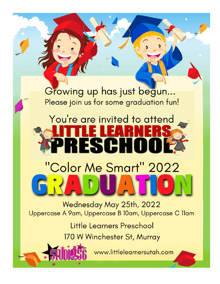Growing up has just begun... Please join us for some graduation fun!

# You're are invited to attend **RESCHI** "Color Me Smart" 2022

Wednesday May 25th, 2022 Uppercase A 9am, Uppercase B 10am, Uppercase C 11am

> Little Learners Preschool 170 W Winchester St, Murray



www.littlelearnersutah.com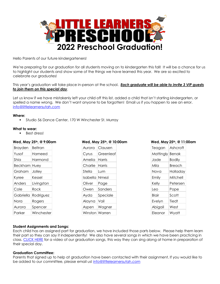

Hello Parents of our future kindergarteners!

We're preparing for our graduation for all students moving on to kindergarten this fall! It will be a chance for us to highlight our students and show some of the things we have learned this year. We are so excited to celebrate our graduates!

This year's graduation will take place in-person at the school. *Each graduate will be able to invite 3 VIP guests to join them on this special day*.

Let us know if we have mistakenly left your child off this list, added a child that isn't starting kindergarten, or spelled a name wrong. We don't want anyone to be forgotten! Email us if you happen to see an error. [info@littlelearnersutah.com](mailto:info@littlelearnersutah.com)

#### **Where:**

**Studio 56 Dance Center, 170 W Winchester St. Murray** 

### **What to wear:**

**Best dress!** 

#### **Wed, May 25th, @ 9:00am**

| Brayden        | Beltran    |
|----------------|------------|
| Yusof          | Hameed     |
| Shia           | Harmond    |
| <b>Beckham</b> | Huey       |
| Graham         | Jolley     |
| Kyree          | Kessel     |
| Anders         | Livingston |
| Cole           | Rock       |
| Gabriella      | Rodriguez  |
| Nora           | Rogers     |
| Aurora         | Spencer    |
| Parker         | Winchester |

## **Wed, May 25th, @ 10:00am**

| Aurora   | Clausen   |
|----------|-----------|
| Cyrus    | Greenleaf |
| Amelia   | Harris    |
| Charlie  | Harris    |
| Stella   | Lum       |
| Isabella | Nmezi     |
| Oliver   | Page      |
|          |           |
| Owen     | Sanders   |
| Ayda     | Speciale  |
| Alayna   | Vail      |
| Aspen    | Wagner    |

#### **Wed, May 25th, @ 11:00am**

| Teagan    | Ashcroft |
|-----------|----------|
| Mattingly | Benak    |
| Jade      | Bodily   |
| Mila      | Breach   |
| Nova      | Holladay |
| Emily     | Mitchell |
| Kelly     | Petersen |
| Leo       | Pope     |
| Blair     | Scott    |
| Evelyn    | Tiedt    |
| Abigail   | West     |
| Eleanor   | Wyatt    |

### **Student Assignments and Songs:**

Each child has an assigned part for graduation, we have included those parts below. Please help them learn their part so they can say it independently! We also have several songs in which we have been practicing in class[. CLICK HERE](http://vimeo.com/407690759) for a video of our graduation songs, this way they can sing along at home in preparation of their special day.

#### **Graduation Committee:**

Parents that signed up to help at graduation have been contacted with their assignment. If you would like to be added to our committee, please email us! [info@littlelearnersutah.com](mailto:info@littlelearnersutah.com)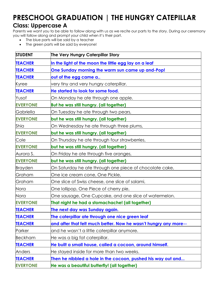# **PRESCHOOL GRADUATION | THE HUNGRY CATEPILLAR Class: Uppercase A**

Parents we want you to be able to follow along with us as we recite our parts to the story. During our ceremony you will follow along and prompt your child when it's their part.

- The blue parts will be said by a teacher
- The green parts will be said by everyone!

| <b>STUDENT</b>  | The Very Hungry Caterpillar Story                                |
|-----------------|------------------------------------------------------------------|
| <b>TEACHER</b>  | In the light of the moon the little egg lay on a leaf            |
| <b>TEACHER</b>  | One Sunday morning the warm sun came up and-Pop!                 |
| <b>TEACHER</b>  | out of the egg came a                                            |
| Kyree           | very tiny and very hungry caterpillar.                           |
| <b>TEACHER</b>  | He started to look for some food.                                |
| Yusof           | On Monday he ate through one apple.                              |
| <b>EVERYONE</b> | But he was still hungry. (all together)                          |
| Gabriella       | On Tuesday he ate through two pears,                             |
| <b>EVERYONE</b> | but he was still hungry. (all together)                          |
| Shia            | On Wednesday he ate through three plums,                         |
| <b>EVERYONE</b> | but he was still hungry. (all together)                          |
| Cole            | On Thursday he ate through four strawberries,                    |
| <b>EVERYONE</b> | but he was still hungry. (all together)                          |
| Aurora S.       | On Friday he ate through five oranges,                           |
| <b>EVERYONE</b> | but he was still hungry. (all together)                          |
| Brayden         | On Saturday he ate through one piece of chocolate cake,          |
| Graham          | One ice cream cone, One Pickle,                                  |
| Graham          | One slice of Swiss cheese, one slice of salami,                  |
| Nora            | One Iollipop, One Piece of cherry pie,                           |
| Nora            | One sausage, One Cupcake, and one slice of watermelon.           |
| <b>EVERYONE</b> | That night he had a stomachache! (all together)                  |
| <b>TEACHER</b>  | The next day was Sunday again.                                   |
| <b>TEACHER</b>  | The caterpillar ate through one nice green leaf                  |
| <b>TEACHER</b>  | and after that felt much better. Now he wasn't hungry any more-- |
| Parker          | and he wasn't a little caterpillar anymore.                      |
| Beckham         | He was a big fat caterpillar.                                    |
| <b>TEACHER</b>  | He built a small house, called a cocoon, around himself.         |
| Anders          | He stayed inside for more than two weeks.                        |
| <b>TEACHER</b>  | Then he nibbled a hole in the cocoon, pushed his way out and     |
| <b>EVERYONE</b> | He was a beautiful butterfly! (all together)                     |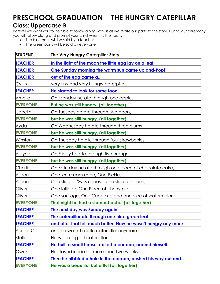# **PRESCHOOL GRADUATION | THE HUNGRY CATEPILLAR Class: Uppercase B**

Parents we want you to be able to follow along with us as we recite our parts to the story. During our ceremony you will follow along and prompt your child when it's their part.

- The blue parts will be said by a teacher
- The green parts will be said by everyone!

| <b>STUDENT</b>  | The Very Hungry Caterpillar Story                                |
|-----------------|------------------------------------------------------------------|
| <b>TEACHER</b>  | In the light of the moon the little egg lay on a leaf            |
| <b>TEACHER</b>  | One Sunday morning the warm sun came up and-Pop!                 |
| <b>TEACHER</b>  | out of the egg came a                                            |
| Cyrus           | very tiny and very hungry caterpillar.                           |
| <b>TEACHER</b>  | He started to look for some food.                                |
| Amelia          | On Monday he ate through one apple.                              |
| <b>EVERYONE</b> | But he was still hungry. (all together)                          |
| Isabella        | On Tuesday he ate through two pears,                             |
| <b>EVERYONE</b> | but he was still hungry. (all together)                          |
| Ayda            | On Wednesday he ate through three plums,                         |
| <b>EVERYONE</b> | but he was still hungry. (all together)                          |
| Winston         | On Thursday he ate through four strawberries,                    |
| <b>EVERYONE</b> | but he was still hungry. (all together)                          |
| Alayna          | On Friday he ate through five oranges,                           |
| <b>EVERYONE</b> | but he was still hungry. (all together)                          |
| Charlie         | On Saturday he ate through one piece of chocolate cake,          |
| Aspen           | One ice cream cone, One Pickle,                                  |
| Aspen           | One slice of Swiss cheese, one slice of salami,                  |
| Oliver          | One Iollipop, One Piece of cherry pie,                           |
| Oliver          | One sausage, One Cupcake, and one slice of watermelon.           |
| <b>EVERYONE</b> | That night he had a stomachache! (all together)                  |
| <b>TEACHER</b>  | The next day was Sunday again.                                   |
| <b>TEACHER</b>  | The caterpillar ate through one nice green leaf                  |
| <b>TEACHER</b>  | and after that felt much better. Now he wasn't hungry any more-- |
| Aurora C.       | and he wasn't a little caterpillar anymore.                      |
| Stella          | He was a big fat caterpillar.                                    |
| <b>TEACHER</b>  | He built a small house, called a cocoon, around himself.         |
| Owen            | He stayed inside for more than two weeks.                        |
| <b>TEACHER</b>  | Then he nibbled a hole in the cocoon, pushed his way out and     |
| <b>EVERYONE</b> | He was a beautiful butterfly! (all together)                     |